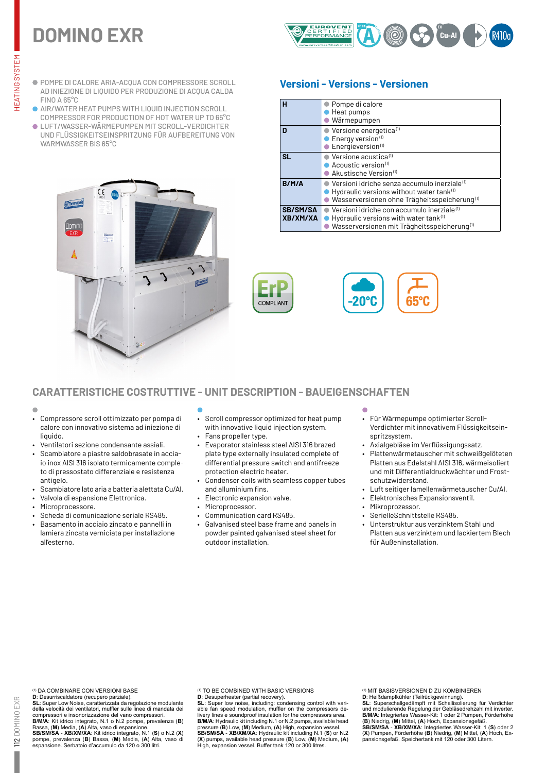# **DOMINO EXR**



- POMPE DI CALORE ARIA-ACQUA CON COMPRESSORE SCROLL AD INIEZIONE DI LIQUIDO PER PRODUZIONE DI ACQUA CALDA FINO A 65°C
- **AIR/WATER HEAT PUMPS WITH LIQUID INJECTION SCROLL** COMPRESSOR FOR PRODUCTION OF HOT WATER UP TO 65°C
- LUFT/WASSER-WÄRMEPUMPEN MIT SCROLL-VERDICHTER UND FLÜSSIGKEITSEINSPRITZUNG FÜR AUFBEREITUNG VON WARMWASSER BIS 65°C



# **Versioni - Versions - Versionen**

| н                           | ● Pompe di calore<br>Heat pumps<br>Wärmepumpen                                                                                                                               |
|-----------------------------|------------------------------------------------------------------------------------------------------------------------------------------------------------------------------|
| n                           | Versione energetica <sup>(1)</sup><br>Energy version <sup>(1)</sup><br>Energieversion <sup>(1)</sup>                                                                         |
| <b>SL</b>                   | $\bullet$ Versione acustica <sup>(1)</sup><br>$\bullet$ Acoustic version <sup>(1)</sup><br>Akustische Version(1)                                                             |
| B/M/A                       | Versioni idriche senza accumulo inerziale <sup>(1)</sup><br>Hydraulic versions without water tank <sup>(1)</sup><br>Wasserversionen ohne Trägheitsspeicherung <sup>(1)</sup> |
| <b>SB/SM/SA</b><br>XB/XM/XA | Versioni idriche con accumulo inerziale <sup>(1)</sup><br>Hydraulic versions with water tank <sup>(1)</sup><br>Wasserversionen mit Trägheitsspeicherung <sup>(1)</sup>       |



# **CARATTERISTICHE COSTRUTTIVE - UNIT DESCRIPTION - BAUEIGENSCHAFTEN**

- 
- Compressore scroll ottimizzato per pompa di calore con innovativo sistema ad iniezione di liquido.
- Ventilatori sezione condensante assiali.
- Scambiatore a piastre saldobrasate in acciaio inox AISI 316 isolato termicamente completo di pressostato differenziale e resistenza antigelo.
- Scambiatore lato aria a batteria alettata Cu/Al.
- Valvola di espansione Elettronica.
- Microprocessore.
- Scheda di comunicazione seriale RS485.
- Basamento in acciaio zincato e pannelli in lamiera zincata verniciata per installazione all'esterno.
- 
- Scroll compressor optimized for heat pump with innovative liquid injection system.
- Fans propeller type.
- Evaporator stainless steel AISI 316 brazed plate type externally insulated complete of differential pressure switch and antifreeze protection electric heater.
- Condenser coils with seamless copper tubes and alluminium fins.
- Electronic expansion valve.
- Microprocessor.
- Communication card RS485.
- Galvanised steel base frame and panels in powder painted galvanised steel sheet for outdoor installation.
- Für Wärmepumpe optimierter Scroll-Verdichter mit innovativem Flüssigkeitseinspritzsystem.
- Axialgebläse im Verflüssigungssatz.
- Plattenwärmetauscher mit schweißgelöteten Platten aus Edelstahl AISI 316, wärmeisoliert und mit Differentialdruckwächter und Frostschutzwiderstand.
- Luft seitiger lamellenwärmetauscher Cu/Al.
- Elektronisches Expansionsventil.
- Mikroprozessor.
- SerielleSchnittstelle RS485.
- Unterstruktur aus verzinktem Stahl und Platten aus verzinktem und lackiertem Blech für Außeninstallation.

(1) DA COMBINARE CON VERSIONI BASE

**D**: Desurriscaldatore (recupero parziale). **SL**: Super Low Noise, caratterizzata da regolazione modulante della velocità dei ventilatori, muffler sulle linee di mandata dei compressori e insonorizzazione del vano compressori.<br>BMVA: Kit idrico integrato, N.1 o N.2 pompe, prevalenza (B)<br>Bassa, (M) Media, (A) Alta, vaso di espansione.<br>SB/SMVSA - XB/XM/XA: Kit idrico integrato, N.1 (S) o N.2 (X)<br>

espansione. Serbatoio d'accumulo da 120 o 300 litri.

TO BE COMBINED WITH BASIC VERSIONS

**D**: Desuperheater (partial recovery). **SL**: Super low noise, including: condensing control with vari-able fan speed modulation, muffler on the compressors delivery lines e soundproof insulation for the compressors area.<br>**E/M/A:** Hydraulic kit including N.1 or N.2 pumps, available head<br>pressure (B) Low, (M) Medium, (A) High, expansion vessel.<br>**SE/SM/SA - XB/XM/XA**: Hydraulic ki (1) MIT BASISVERSIONEN D ZU KOMBINIEREN

D: Heißdampfkühler (Teilrückgewinnung).<br>SL: Superschallgedämpft mit Schallisolierung für Verdichter<br>und modulierende Regelung der Gebläsedrehzahl mit inverter.<br>B/M/A: Integriertes Wasser-Kit: 1 oder 2 Pumpen, Förderhöhe<br>(B

(**X**) Pumpen, Förderhöhe (**B**) Niedrig, (**M**) Mittel, (**A**) Hoch, Ex-pansionsgefäß. Speichertank mit 120 oder 300 Litern.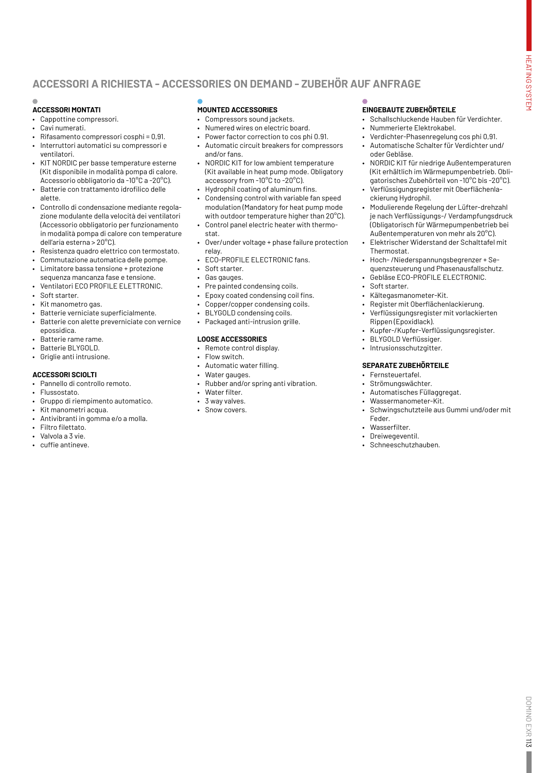# **ACCESSORI A RICHIESTA - ACCESSORIES ON DEMAND - ZUBEHÖR AUF ANFRAGE**

### **ACCESSORI MONTATI**

- Cappottine compressori.
- Cavi numerati.
- Rifasamento compressori cosphi = 0,91.
- Interruttori automatici su compressori e ventilatori.
- KIT NORDIC per basse temperature esterne (Kit disponibile in modalità pompa di calore. Accessorio obbligatorio da -10°C a -20°C).
- • Batterie con trattamento idrofilico delle alette.
- Controllo di condensazione mediante regolazione modulante della velocità dei ventilatori (Accessorio obbligatorio per funzionamento in modalità pompa di calore con temperature dell'aria esterna > 20°C).
- Resistenza quadro elettrico con termostato.
- Commutazione automatica delle pompe.
- Limitatore bassa tensione + protezione sequenza mancanza fase e tensione.
- Ventilatori ECO PROFILE ELETTRONIC. • Soft starter.
- 
- Kit manometro gas. Batterie verniciate superficialmente.
- Batterie con alette preverniciate con vernice epossidica.
- Batterie rame rame.
- Batterie BLYGOLD.
- Griglie anti intrusione.

#### **ACCESSORI SCIOLTI**

- Pannello di controllo remoto.
- Flussostato.
- Gruppo di riempimento automatico.
- Kit manometri acqua.
- Antivibranti in gomma e/o a molla.
- Filtro filettato.
- Valvola a 3 vie.
- • cuffie antineve.

### **MOUNTED ACCESSORIES**

- Compressors sound jackets.
- Numered wires on electric board.
- Power factor correction to cos phi 0.91. • Automatic circuit breakers for compressors and/or fans.
- NORDIC KIT for low ambient temperature (Kit available in heat pump mode. Obligatory accessory from -10°C to -20°C).
- • Hydrophil coating of aluminum fins.
- Condensing control with variable fan speed modulation (Mandatory for heat pump mode with outdoor temperature higher than 20°C).
- Control panel electric heater with thermostat.
- Over/under voltage + phase failure protection relay.
- ECO-PROFILE ELECTRONIC fans.
- Soft starter.
- Gas gauges.
- Pre painted condensing coils.
- Epoxy coated condensing coil fins.
- Copper/copper condensing coils.
- BLYGOLD condensing coils.
- Packaged anti-intrusion grille.

#### **LOOSE ACCESSORIES**

- Remote control display.
- Flow switch.
- Automatic water filling.
- Water gauges.
- Rubber and/or spring anti vibration.
- Water filter.
- 3 way valves. Snow covers.

## **EINGEBAUTE ZUBEHÖRTEILE**

- Schallschluckende Hauben für Verdichter. • Nummerierte Elektrokabel.
- Verdichter-Phasenregelung cos phi 0,91.
- Automatische Schalter für Verdichter und/ oder Gebläse.
- NORDIC KIT für niedrige Außentemperaturen (Kit erhältlich im Wärmepumpenbetrieb. Obligatorisches Zubehörteil von -10°C bis -20°C).
- Verflüssigungsregister mit Oberflächenlackierung Hydrophil.
- Modulierende Regelung der Lüfter-drehzahl je nach Verflüssigungs-/ Verdampfungsdruck (Obligatorisch für Wärmepumpenbetrieb bei Außentemperaturen von mehr als 20°C).
- Elektrischer Widerstand der Schalttafel mit Thermostat.
- Hoch- /Niederspannungsbegrenzer + Sequenzsteuerung und Phasenausfallschutz.
- Gebläse ECO-PROFILE ELECTRONIC.
- Soft starter.
- Kältegasmanometer-Kit.
- Register mit Oberflächenlackierung. • Verflüssigungsregister mit vorlackierten
- Rippen (Epoxidlack). • Kupfer-/Kupfer-Verflüssigungsregister.
- BLYGOLD Verflüssiger.
- Intrusionsschutzgitter.

#### **SEPARATE ZUBEHÖRTEILE**

- Fernsteuertafel.
- Strömungswächter.
- Automatisches Füllaggregat.
- Wassermanometer-Kit.
- Schwingschutzteile aus Gummi und/oder mit Feder.
- Wasserfilter.
- Dreiwegeventil.
- Schneeschutzhauben.

Ľ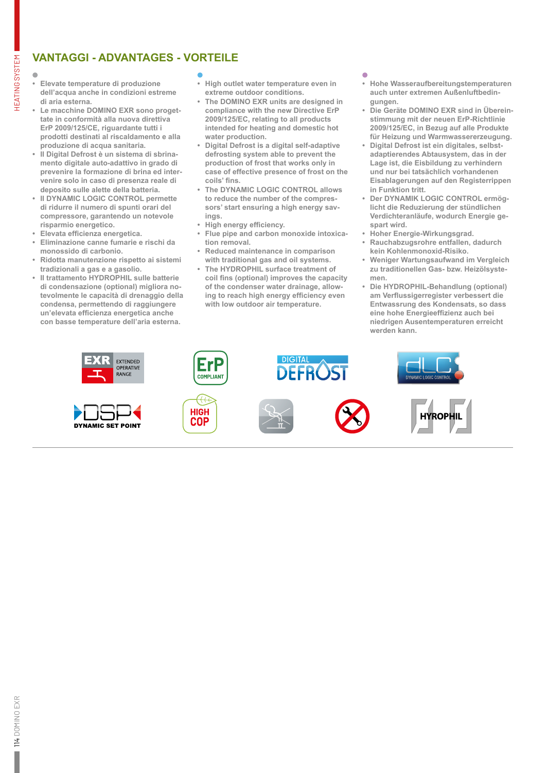# **VANTAGGI - ADVANTAGES - VORTEILE**

HEATING SYSTEM

**HEATING SYSTEM** 

- **• Elevate temperature di produzione dell'acqua anche in condizioni estreme di aria esterna.**
- **• Le macchine DOMINO EXR sono progettate in conformità alla nuova direttiva ErP 2009/125/CE, riguardante tutti i prodotti destinati al riscaldamento e alla produzione di acqua sanitaria.**
- **• Il Digital Defrost è un sistema di sbrinamento digitale auto-adattivo in grado di prevenire la formazione di brina ed intervenire solo in caso di presenza reale di deposito sulle alette della batteria.**
- **• Il DYNAMIC LOGIC CONTROL permette di ridurre il numero di spunti orari del compressore, garantendo un notevole risparmio energetico.**
- **• Elevata efficienza energetica.**
- **• Eliminazione canne fumarie e rischi da monossido di carbonio.**
- **• Ridotta manutenzione rispetto ai sistemi tradizionali a gas e a gasolio.**
- **• Il trattamento HYDROPHIL sulle batterie di condensazione (optional) migliora notevolmente le capacità di drenaggio della condensa, permettendo di raggiungere un'elevata efficienza energetica anche con basse temperature dell'aria esterna.**

- **• High outlet water temperature even in extreme outdoor conditions.**
- **• The DOMINO EXR units are designed in compliance with the new Directive ErP 2009/125/EC, relating to all products intended for heating and domestic hot water production.**
- **• Digital Defrost is a digital self-adaptive defrosting system able to prevent the production of frost that works only in case of effective presence of frost on the coils' fins.**
- **• The DYNAMIC LOGIC CONTROL allows to reduce the number of the compressors' start ensuring a high energy savings.**
- **• High energy efficiency.**
- **• Flue pipe and carbon monoxide intoxication removal.**
- **• Reduced maintenance in comparison with traditional gas and oil systems.**
- **• The HYDROPHIL surface treatment of coil fins (optional) improves the capacity of the condenser water drainage, allowing to reach high energy efficiency even with low outdoor air temperature.**

- **• Hohe Wasseraufbereitungstemperaturen auch unter extremen Außenluftbedingungen.**
- **• Die Geräte DOMINO EXR sind in Übereinstimmung mit der neuen ErP-Richtlinie 2009/125/EC, in Bezug auf alle Produkte für Heizung und Warmwassererzeugung.**
- **• Digital Defrost ist ein digitales, selbstadaptierendes Abtausystem, das in der Lage ist, die Eisbildung zu verhindern und nur bei tatsächlich vorhandenen Eisablagerungen auf den Registerrippen in Funktion tritt.**
- **• Der DYNAMIK LOGIC CONTROL ermöglicht die Reduzierung der stündlichen Verdichteranläufe, wodurch Energie gespart wird.**
- **• Hoher Energie-Wirkungsgrad.**
- **• Rauchabzugsrohre entfallen, dadurch kein Kohlenmonoxid-Risiko.**
- **• Weniger Wartungsaufwand im Vergleich zu traditionellen Gas- bzw. Heizölsystemen.**
- **• Die HYDROPHIL-Behandlung (optional) am Verflussigerregister verbessert die Entwassrung des Kondensats, so dass eine hohe Energieeffizienz auch bei niedrigen Ausentemperaturen erreicht werden kann.**

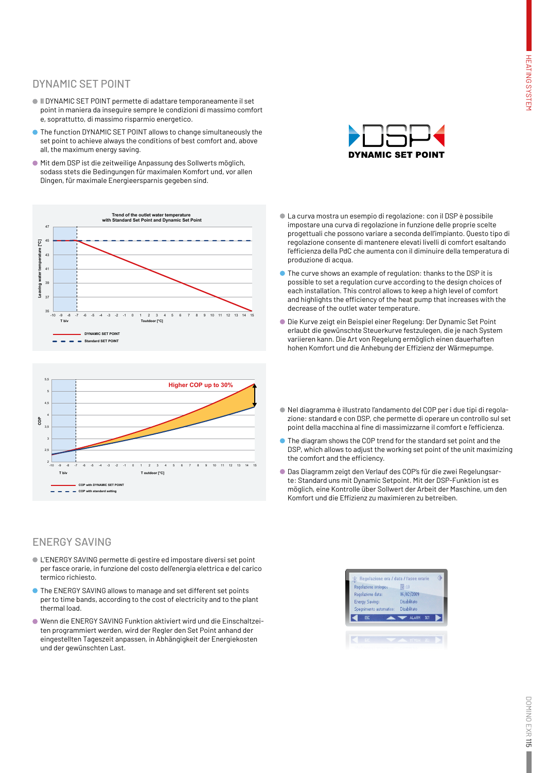# DYNAMIC SET POINT

- Il DYNAMIC SET POINT permette di adattare temporaneamente il set point in maniera da inseguire sempre le condizioni di massimo comfort e, soprattutto, di massimo risparmio energetico.
- The function DYNAMIC SET POINT allows to change simultaneously the set point to achieve always the conditions of best comfort and, above all, the maximum energy saving.
- Mit dem DSP ist die zeitweilige Anpassung des Sollwerts möglich, sodass stets die Bedingungen für maximalen Komfort und, vor allen Dingen, für maximale Energieersparnis gegeben sind.





# ENERGY SAVING

- L'ENERGY SAVING permette di gestire ed impostare diversi set point per fasce orarie, in funzione del costo dell'energia elettrica e del carico termico richiesto.
- The ENERGY SAVING allows to manage and set different set points per to time bands, according to the cost of electricity and to the plant thermal load.
- Wenn die ENERGY SAVING Funktion aktiviert wird und die Einschaltzeiten programmiert werden, wird der Regler den Set Point anhand der eingestellten Tageszeit anpassen, in Abhängigkeit der Energiekosten und der gewünschten Last.



- La curva mostra un esempio di regolazione: con il DSP è possibile impostare una curva di regolazione in funzione delle proprie scelte progettuali che possono variare a seconda dell'impianto. Questo tipo di regolazione consente di mantenere elevati livelli di comfort esaltando l'efficienza della PdC che aumenta con il diminuire della temperatura di produzione di acqua.
- The curve shows an example of regulation: thanks to the DSP it is possible to set a regulation curve according to the design choices of each installation. This control allows to keep a high level of comfort and highlights the efficiency of the heat pump that increases with the decrease of the outlet water temperature.
- Die Kurve zeigt ein Beispiel einer Regelung: Der Dynamic Set Point erlaubt die gewünschte Steuerkurve festzulegen, die je nach System variieren kann. Die Art von Regelung ermöglich einen dauerhaften hohen Komfort und die Anhebung der Effizienz der Wärmepumpe.
- Nel diagramma è illustrato l'andamento del COP per i due tipi di regolazione: standard e con DSP, che permette di operare un controllo sul set point della macchina al fine di massimizzarne il comfort e l'efficienza.
- The diagram shows the COP trend for the standard set point and the DSP, which allows to adjust the working set point of the unit maximizing the comfort and the efficiency.
- Das Diagramm zeigt den Verlauf des COP's für die zwei Regelungsarte: Standard uns mit Dynamic Setpoint. Mit der DSP-Funktion ist es möglich, eine Kontrolle über Sollwert der Arbeit der Maschine, um den Komfort und die Effizienz zu maximieren zu betreiben.

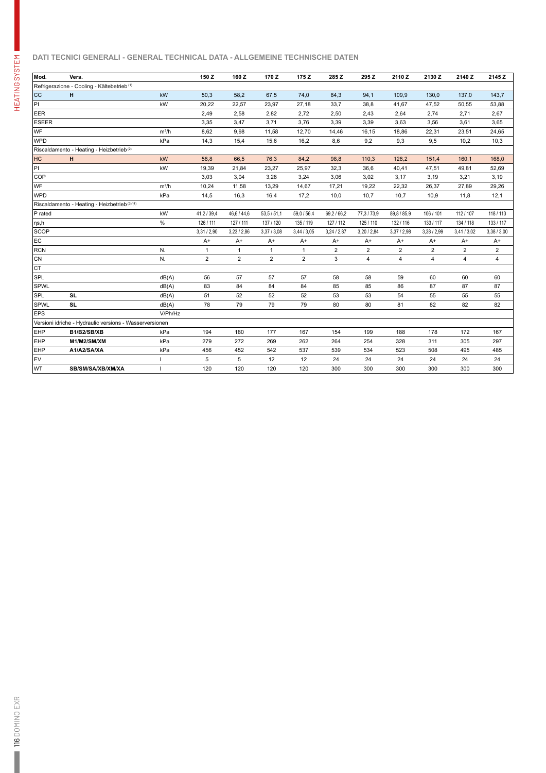### **DATI TECNICI GENERALI - GENERAL TECHNICAL DATA - ALLGEMEINE TECHNISCHE DATEN**

| Mod.                                                    | Vers.                                                  |         | 150 Z          | 160Z           | 170Z           | 175 Z          | 285 Z          | 295 Z          | 2110Z          | 2130 Z         | 2140 Z         | 2145 Z         |
|---------------------------------------------------------|--------------------------------------------------------|---------|----------------|----------------|----------------|----------------|----------------|----------------|----------------|----------------|----------------|----------------|
|                                                         | Refrigerazione - Cooling - Kältebetrieb <sup>(1)</sup> |         |                |                |                |                |                |                |                |                |                |                |
| <b>CC</b>                                               | H                                                      | kW      | 50,3           | 58,2           | 67,5           | 74,0           | 84,3           | 94,1           | 109,9          | 130,0          | 137,0          | 143.7          |
| PI                                                      |                                                        | kW      | 20,22          | 22,57          | 23,97          | 27,18          | 33,7           | 38,8           | 41,67          | 47,52          | 50,55          | 53,88          |
| EER                                                     |                                                        |         | 2,49           | 2,58           | 2,82           | 2,72           | 2,50           | 2,43           | 2,64           | 2,74           | 2,71           | 2,67           |
| <b>ESEER</b>                                            |                                                        |         | 3,35           |                | 3,71           | 3,76           | 3,39           | 3,39           | 3,63           | 3,56           | 3,61           | 3,65           |
| WF                                                      |                                                        | $m^3/h$ |                | 3,47           |                |                |                |                |                |                |                |                |
|                                                         |                                                        |         | 8,62           | 9,98           | 11,58          | 12,70          | 14,46          | 16,15          | 18,86          | 22,31          | 23,51          | 24,65          |
| WPD                                                     |                                                        | kPa     | 14,3           | 15,4           | 15,6           | 16,2           | 8,6            | 9,2            | 9,3            | 9,5            | 10,2           | 10,3           |
| Riscaldamento - Heating - Heizbetrieb <sup>(2)</sup>    |                                                        |         |                |                |                |                |                |                |                |                |                |                |
| HC                                                      | H                                                      | kW      | 58,8           | 66,5           | 76,3           | 84,2           | 98.8           | 110,3          | 128.2          | 151.4          | 160.1          | 168.0          |
| PI                                                      |                                                        | kW      | 19,39          | 21.84          | 23.27          | 25.97          | 32.3           | 36.6           | 40,41          | 47.51          | 49.81          | 52,69          |
| COP                                                     |                                                        |         | 3,03           | 3,04           | 3,28           | 3,24           | 3,06           | 3,02           | 3,17           | 3,19           | 3,21           | 3,19           |
| WF                                                      |                                                        | $m^3/h$ | 10,24          | 11,58          | 13,29          | 14,67          | 17,21          | 19,22          | 22,32          | 26,37          | 27,89          | 29,26          |
| <b>WPD</b>                                              |                                                        | kPa     | 14,5           | 16,3           | 16,4           | 17,2           | 10,0           | 10,7           | 10,7           | 10,9           | 11,8           | 12,1           |
|                                                         | Riscaldamento - Heating - Heizbetrieb (3)/(4)          |         |                |                |                |                |                |                |                |                |                |                |
| $ P$ rated                                              |                                                        | kW      | 41,2 / 39,4    | 46,6 / 44,6    | 53,5/51,1      | 59,0 / 56,4    | 69,2 / 66,2    | 77, 3 / 73, 9  | 89,8 / 85,9    | 106 / 101      | 112 / 107      | 118 / 113      |
| $ $ ŋs,h                                                |                                                        | $\%$    | 126 / 111      | 127 / 111      | 137 / 120      | 135 / 119      | 127 / 112      | 125 / 110      | 132 / 116      | 133 / 117      | 134 / 118      | 133 / 117      |
| <b>SCOP</b>                                             |                                                        |         | 3,31/2,90      | 3,23/2,86      | 3,37/3,08      | 3,44/3,05      | 3,24/2,87      | 3,20/2,84      | 3,37/2,98      | 3,38 / 2,99    | 3,41/3,02      | 3,38/3,00      |
| EC                                                      |                                                        |         | $A+$           | $A+$           | $A+$           | $A+$           | $A+$           | $A+$           | $A+$           | $A+$           | $A+$           | $A+$           |
| RCN                                                     |                                                        | N.      | $\mathbf{1}$   | $\mathbf{1}$   | $\mathbf{1}$   | $\mathbf{1}$   | $\overline{2}$ | $\overline{2}$ | $\overline{2}$ | $\overline{2}$ | $\overline{2}$ | $\overline{2}$ |
| CN                                                      |                                                        | N.      | $\overline{2}$ | $\overline{2}$ | $\overline{2}$ | $\overline{2}$ | 3              | 4              | 4              | 4              | 4              | 4              |
| Iст                                                     |                                                        |         |                |                |                |                |                |                |                |                |                |                |
| <b>SPL</b>                                              |                                                        | dB(A)   | 56             | 57             | 57             | 57             | 58             | 58             | 59             | 60             | 60             | 60             |
| <b>SPWL</b>                                             |                                                        | dB(A)   | 83             | 84             | 84             | 84             | 85             | 85             | 86             | 87             | 87             | 87             |
| <b>SPL</b>                                              | <b>SL</b>                                              | dB(A)   | 51             | 52             | 52             | 52             | 53             | 53             | 54             | 55             | 55             | 55             |
| <b>SPWL</b>                                             | <b>SL</b>                                              | dB(A)   | 78             | 79             | 79             | 79             | 80             | 80             | 81             | 82             | 82             | 82             |
| <b>EPS</b>                                              |                                                        | V/Ph/Hz |                |                |                |                |                |                |                |                |                |                |
| Versioni idriche - Hydraulic versions - Wasserversionen |                                                        |         |                |                |                |                |                |                |                |                |                |                |
| <b>EHP</b>                                              | B1/B2/SB/XB                                            | kPa     | 194            | 180            | 177            | 167            | 154            | 199            | 188            | 178            | 172            | 167            |
| EHP                                                     | M1/M2/SM/XM                                            | kPa     | 279            | 272            | 269            | 262            | 264            | 254            | 328            | 311            | 305            | 297            |
| <b>EHP</b>                                              | A1/A2/SA/XA                                            | kPa     | 456            | 452            | 542            | 537            | 539            | 534            | 523            | 508            | 495            | 485            |
| EV                                                      |                                                        |         | 5              | 5              | 12             | 12             | 24             | 24             | 24             | 24             | 24             | 24             |
| WT                                                      | SB/SM/SA/XB/XM/XA                                      |         | 120            | 120            | 120            | 120            | 300            | 300            | 300            | 300            | 300            | 300            |